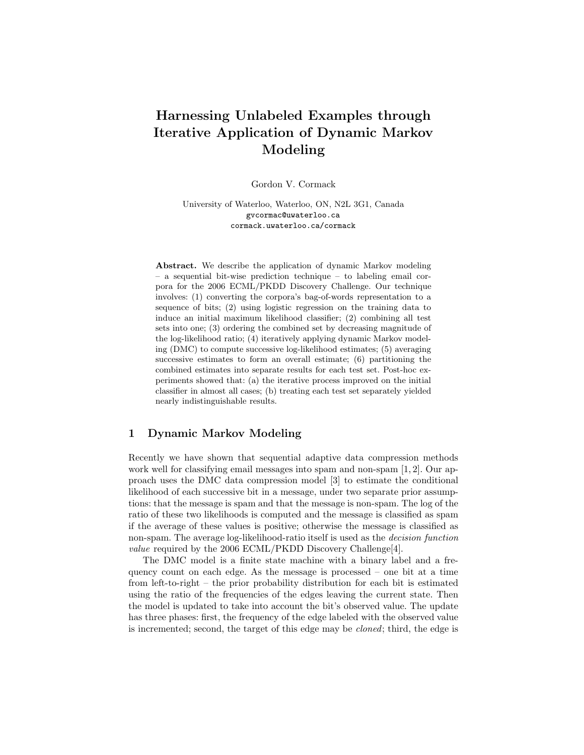# Harnessing Unlabeled Examples through Iterative Application of Dynamic Markov Modeling

Gordon V. Cormack

University of Waterloo, Waterloo, ON, N2L 3G1, Canada gvcormac@uwaterloo.ca cormack.uwaterloo.ca/cormack

Abstract. We describe the application of dynamic Markov modeling – a sequential bit-wise prediction technique – to labeling email corpora for the 2006 ECML/PKDD Discovery Challenge. Our technique involves: (1) converting the corpora's bag-of-words representation to a sequence of bits; (2) using logistic regression on the training data to induce an initial maximum likelihood classifier; (2) combining all test sets into one; (3) ordering the combined set by decreasing magnitude of the log-likelihood ratio; (4) iteratively applying dynamic Markov modeling (DMC) to compute successive log-likelihood estimates; (5) averaging successive estimates to form an overall estimate; (6) partitioning the combined estimates into separate results for each test set. Post-hoc experiments showed that: (a) the iterative process improved on the initial classifier in almost all cases; (b) treating each test set separately yielded nearly indistinguishable results.

## 1 Dynamic Markov Modeling

Recently we have shown that sequential adaptive data compression methods work well for classifying email messages into spam and non-spam [1, 2]. Our approach uses the DMC data compression model [3] to estimate the conditional likelihood of each successive bit in a message, under two separate prior assumptions: that the message is spam and that the message is non-spam. The log of the ratio of these two likelihoods is computed and the message is classified as spam if the average of these values is positive; otherwise the message is classified as non-spam. The average log-likelihood-ratio itself is used as the decision function value required by the 2006 ECML/PKDD Discovery Challenge[4].

The DMC model is a finite state machine with a binary label and a frequency count on each edge. As the message is processed – one bit at a time from left-to-right – the prior probability distribution for each bit is estimated using the ratio of the frequencies of the edges leaving the current state. Then the model is updated to take into account the bit's observed value. The update has three phases: first, the frequency of the edge labeled with the observed value is incremented; second, the target of this edge may be cloned; third, the edge is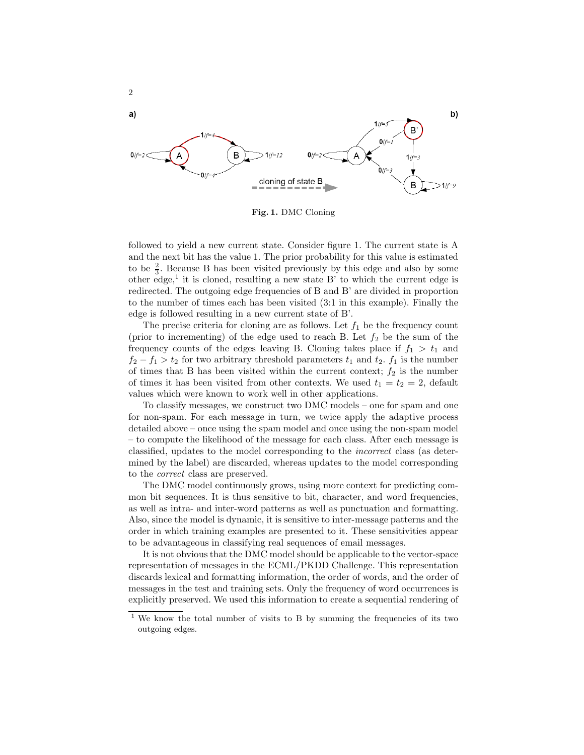

2

Fig. 1. DMC Cloning

followed to yield a new current state. Consider figure 1. The current state is A and the next bit has the value 1. The prior probability for this value is estimated to be  $\frac{2}{3}$ . Because B has been visited previously by this edge and also by some other edge,<sup>1</sup> it is cloned, resulting a new state  $B'$  to which the current edge is redirected. The outgoing edge frequencies of B and B' are divided in proportion to the number of times each has been visited (3:1 in this example). Finally the edge is followed resulting in a new current state of B'.

The precise criteria for cloning are as follows. Let  $f_1$  be the frequency count (prior to incrementing) of the edge used to reach B. Let  $f_2$  be the sum of the frequency counts of the edges leaving B. Cloning takes place if  $f_1 > t_1$  and  $f_2 - f_1 > t_2$  for two arbitrary threshold parameters  $t_1$  and  $t_2$ .  $f_1$  is the number of times that B has been visited within the current context;  $f_2$  is the number of times it has been visited from other contexts. We used  $t_1 = t_2 = 2$ , default values which were known to work well in other applications.

To classify messages, we construct two DMC models – one for spam and one for non-spam. For each message in turn, we twice apply the adaptive process detailed above – once using the spam model and once using the non-spam model – to compute the likelihood of the message for each class. After each message is classified, updates to the model corresponding to the incorrect class (as determined by the label) are discarded, whereas updates to the model corresponding to the correct class are preserved.

The DMC model continuously grows, using more context for predicting common bit sequences. It is thus sensitive to bit, character, and word frequencies, as well as intra- and inter-word patterns as well as punctuation and formatting. Also, since the model is dynamic, it is sensitive to inter-message patterns and the order in which training examples are presented to it. These sensitivities appear to be advantageous in classifying real sequences of email messages.

It is not obvious that the DMC model should be applicable to the vector-space representation of messages in the ECML/PKDD Challenge. This representation discards lexical and formatting information, the order of words, and the order of messages in the test and training sets. Only the frequency of word occurrences is explicitly preserved. We used this information to create a sequential rendering of

<sup>1</sup> We know the total number of visits to B by summing the frequencies of its two outgoing edges.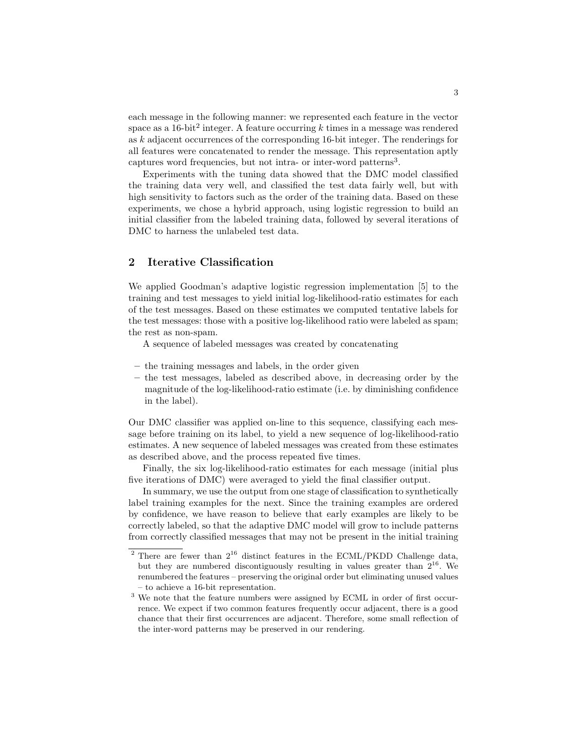each message in the following manner: we represented each feature in the vector space as a  $16$ -bit<sup>2</sup> integer. A feature occurring k times in a message was rendered as k adjacent occurrences of the corresponding 16-bit integer. The renderings for all features were concatenated to render the message. This representation aptly captures word frequencies, but not intra- or inter-word patterns<sup>3</sup>.

Experiments with the tuning data showed that the DMC model classified the training data very well, and classified the test data fairly well, but with high sensitivity to factors such as the order of the training data. Based on these experiments, we chose a hybrid approach, using logistic regression to build an initial classifier from the labeled training data, followed by several iterations of DMC to harness the unlabeled test data.

## 2 Iterative Classification

We applied Goodman's adaptive logistic regression implementation [5] to the training and test messages to yield initial log-likelihood-ratio estimates for each of the test messages. Based on these estimates we computed tentative labels for the test messages: those with a positive log-likelihood ratio were labeled as spam; the rest as non-spam.

A sequence of labeled messages was created by concatenating

- the training messages and labels, in the order given
- the test messages, labeled as described above, in decreasing order by the magnitude of the log-likelihood-ratio estimate (i.e. by diminishing confidence in the label).

Our DMC classifier was applied on-line to this sequence, classifying each message before training on its label, to yield a new sequence of log-likelihood-ratio estimates. A new sequence of labeled messages was created from these estimates as described above, and the process repeated five times.

Finally, the six log-likelihood-ratio estimates for each message (initial plus five iterations of DMC) were averaged to yield the final classifier output.

In summary, we use the output from one stage of classification to synthetically label training examples for the next. Since the training examples are ordered by confidence, we have reason to believe that early examples are likely to be correctly labeled, so that the adaptive DMC model will grow to include patterns from correctly classified messages that may not be present in the initial training

There are fewer than  $2^{16}$  distinct features in the ECML/PKDD Challenge data, but they are numbered discontiguously resulting in values greater than  $2^{16}$ . We renumbered the features – preserving the original order but eliminating unused values – to achieve a 16-bit representation.

 $^3$  We note that the feature numbers were assigned by ECML in order of first occurrence. We expect if two common features frequently occur adjacent, there is a good chance that their first occurrences are adjacent. Therefore, some small reflection of the inter-word patterns may be preserved in our rendering.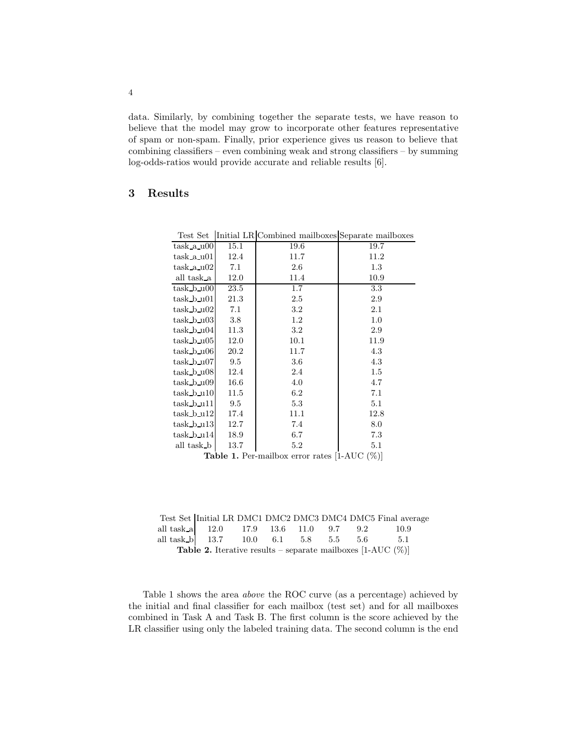data. Similarly, by combining together the separate tests, we have reason to believe that the model may grow to incorporate other features representative of spam or non-spam. Finally, prior experience gives us reason to believe that combining classifiers – even combining weak and strong classifiers – by summing log-odds-ratios would provide accurate and reliable results [6].

## 3 Results

| rest per          |      | unitial LR/Combined manboxes separate manboxes |      |
|-------------------|------|------------------------------------------------|------|
| $task_a_000$      | 15.1 | 19.6                                           | 19.7 |
| task a u01        | 12.4 | 11.7                                           | 11.2 |
| $task_a.u02$      | 7.1  | 2.6                                            | 1.3  |
| all task a        | 12.0 | 11.4                                           | 10.9 |
| $task_b u00$      | 23.5 | 1.7                                            | 3.3  |
| $task_b$ u01      | 21.3 | 2.5                                            | 2.9  |
| $task_b_002$      | 7.1  | 3.2                                            | 2.1  |
| $task_b_0.03$     | 3.8  | $1.2\,$                                        | 1.0  |
| $task_b_004$      | 11.3 | $3.2\,$                                        | 2.9  |
| $task_b_005$      | 12.0 | 10.1                                           | 11.9 |
| task b u06        | 20.2 | 11.7                                           | 4.3  |
| $task_b_u07$      | 9.5  | 3.6                                            | 4.3  |
| $task_b$ u08      | 12.4 | 2.4                                            | 1.5  |
| $task_b$ u09      | 16.6 | 4.0                                            | 4.7  |
| $task_b$ u10      | 11.5 | 6.2                                            | 7.1  |
| $task_b_111$      | 9.5  | 5.3                                            | 5.1  |
| $task_b_u12$      | 17.4 | 11.1                                           | 12.8 |
| $task_b_u13$      | 12.7 | 7.4                                            | 8.0  |
| $task_b_114$      | 18.9 | 6.7                                            | 7.3  |
| all task <b>b</b> | 13.7 | $5.2\,$                                        | 5.1  |
|                   |      |                                                |      |

Test Set Initial LR Combined mailboxes Separate mailboxes

Table 1. Per-mailbox error rates [1-AUC (%)]

|                                                                        |  |                                                       |  |  |  |  |  | Test Set Initial LR DMC1 DMC2 DMC3 DMC4 DMC5 Final average |
|------------------------------------------------------------------------|--|-------------------------------------------------------|--|--|--|--|--|------------------------------------------------------------|
|                                                                        |  | all task_a   12.0 17.9 13.6 11.0 9.7 9.2              |  |  |  |  |  | -10.9                                                      |
|                                                                        |  | all task_b   13.7    10.0    6.1    5.8    5.5    5.6 |  |  |  |  |  | 5.1                                                        |
| <b>Table 2.</b> Iterative results – separate mailboxes [1-AUC $(\%)$ ] |  |                                                       |  |  |  |  |  |                                                            |

Table 1 shows the area above the ROC curve (as a percentage) achieved by the initial and final classifier for each mailbox (test set) and for all mailboxes combined in Task A and Task B. The first column is the score achieved by the LR classifier using only the labeled training data. The second column is the end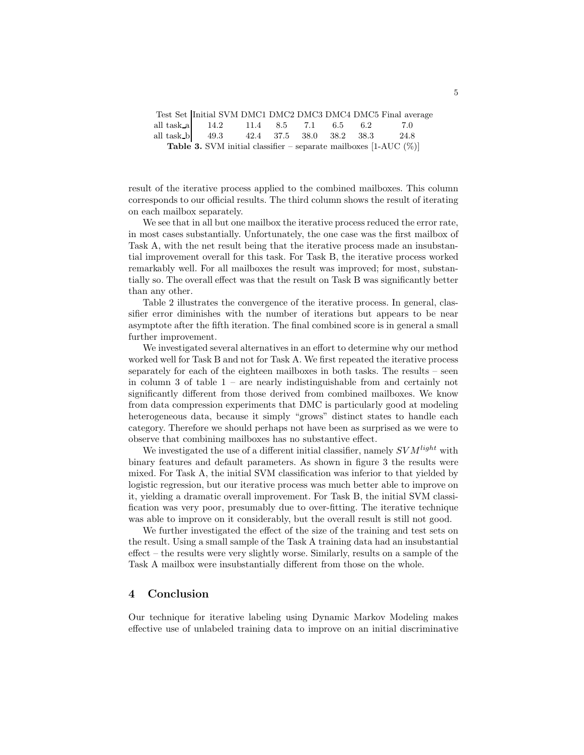|  |                                                                             |  |  | Test Set Initial SVM DMC1 DMC2 DMC3 DMC4 DMC5 Final average |
|--|-----------------------------------------------------------------------------|--|--|-------------------------------------------------------------|
|  | all task_a   14.2    11.4    8.5    7.1    6.5    6.2                       |  |  | - 70                                                        |
|  | all task_b   49.3 42.4 37.5 38.0 38.2 38.3 24.8                             |  |  |                                                             |
|  | <b>Table 3.</b> SVM initial classifier – separate mailboxes [1-AUC $(\%)$ ] |  |  |                                                             |

result of the iterative process applied to the combined mailboxes. This column corresponds to our official results. The third column shows the result of iterating on each mailbox separately.

We see that in all but one mailbox the iterative process reduced the error rate, in most cases substantially. Unfortunately, the one case was the first mailbox of Task A, with the net result being that the iterative process made an insubstantial improvement overall for this task. For Task B, the iterative process worked remarkably well. For all mailboxes the result was improved; for most, substantially so. The overall effect was that the result on Task B was significantly better than any other.

Table 2 illustrates the convergence of the iterative process. In general, classifier error diminishes with the number of iterations but appears to be near asymptote after the fifth iteration. The final combined score is in general a small further improvement.

We investigated several alternatives in an effort to determine why our method worked well for Task B and not for Task A. We first repeated the iterative process separately for each of the eighteen mailboxes in both tasks. The results – seen in column  $3$  of table  $1$  – are nearly indistinguishable from and certainly not significantly different from those derived from combined mailboxes. We know from data compression experiments that DMC is particularly good at modeling heterogeneous data, because it simply "grows" distinct states to handle each category. Therefore we should perhaps not have been as surprised as we were to observe that combining mailboxes has no substantive effect.

We investigated the use of a different initial classifier, namely  $SVM<sup>light</sup>$  with binary features and default parameters. As shown in figure 3 the results were mixed. For Task A, the initial SVM classification was inferior to that yielded by logistic regression, but our iterative process was much better able to improve on it, yielding a dramatic overall improvement. For Task B, the initial SVM classification was very poor, presumably due to over-fitting. The iterative technique was able to improve on it considerably, but the overall result is still not good.

We further investigated the effect of the size of the training and test sets on the result. Using a small sample of the Task A training data had an insubstantial effect – the results were very slightly worse. Similarly, results on a sample of the Task A mailbox were insubstantially different from those on the whole.

#### 4 Conclusion

Our technique for iterative labeling using Dynamic Markov Modeling makes effective use of unlabeled training data to improve on an initial discriminative